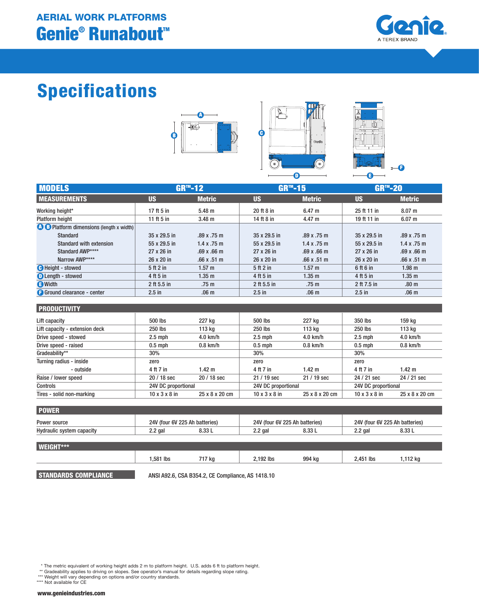

# Specifications







| <b>MODELS</b>                                   |               | <b>GR™-12</b>      | <b>GR™-15</b> |                            | <b>GR™-20</b> |                    |
|-------------------------------------------------|---------------|--------------------|---------------|----------------------------|---------------|--------------------|
| <b>MEASUREMENTS</b>                             | <b>US</b>     | <b>Metric</b>      | <b>US</b>     | <b>Metric</b>              | <b>US</b>     | <b>Metric</b>      |
| Working height*                                 | 17 ft 5 in    | $5.48 \text{ m}$   | 20 ft 8 in    | 6.47 m                     | 25 ft 11 in   | 8.07 m             |
| <b>Platform height</b>                          | 11 ft $5$ in  | 3.48 <sub>m</sub>  | 14 ft 8 in    | 4.47 m                     | 19 ft 11 in   | 6.07 m             |
| <b>O O</b> Platform dimensions (length x width) |               |                    |               |                            |               |                    |
| <b>Standard</b>                                 | 35 x 29.5 in  | .89x.75m           | 35 x 29.5 in  | .89x.75m                   | 35 x 29.5 in  | .89x.75m           |
| Standard with extension                         | 55 x 29.5 in  | $1.4 \times .75$ m | 55 x 29.5 in  | $1.4 \times .75 \text{ m}$ | 55 x 29.5 in  | 1.4 x .75 m        |
| Standard AWP****                                | 27 x 26 in    | $.69 \times .66$ m | 27 x 26 in    | .69x.66m                   | 27 x 26 in    | $.69 \times .66$ m |
| Narrow AWP****                                  | 26 x 20 in    | .66x.51m           | 26 x 20 in    | .66x.51m                   | 26 x 20 in    | .66x.51m           |
| <b>C</b> Height - stowed                        | 5 ft 2 in     | 1.57 m             | 5 ft 2 in     | 1.57 m                     | 6 ft 6 in     | 1.98 <sub>m</sub>  |
| <b>D</b> Length - stowed                        | 4 ft 5 in     | 1.35 <sub>m</sub>  | 4 ft 5 in     | 1.35 <sub>m</sub>          | 4 ft 5 in     | 1.35 <sub>m</sub>  |
| <b>O</b> Width                                  | $2$ ft 5.5 in | .75 <sub>m</sub>   | 2 ft 5.5 in   | .75 <sub>m</sub>           | 2 ft 7.5 in   | .80 <sub>m</sub>   |
| <b>Ground clearance - center</b>                | $2.5$ in      | .06 <sub>m</sub>   | $2.5$ in      | .06 <sub>m</sub>           | $2.5$ in      | .06 <sub>m</sub>   |

 $\mathbf \Theta$ 

#### **PRODUCTIVITY**

| <u>.</u>                       |                           |                     |                           |                     |                           |                     |  |
|--------------------------------|---------------------------|---------------------|---------------------------|---------------------|---------------------------|---------------------|--|
| Lift capacity                  | 500 lbs                   | 227 kg              | 500 lbs                   | 227 kg              | 350 lbs                   | 159 ka              |  |
| Lift capacity - extension deck | 250 lbs                   | 113 kg              | 250 lbs                   | 113 kg              | 250 lbs                   | 113 kg              |  |
| Drive speed - stowed           | $2.5$ mph                 | $4.0$ km/h          | $2.5$ mph                 | $4.0$ km/h          | $2.5$ mph                 | $4.0$ km/h          |  |
| Drive speed - raised           | $0.5$ mph                 | $0.8$ km/h          | $0.5$ mph                 | $0.8$ km/h          | $0.5$ mph                 | $0.8$ km/h          |  |
| Gradeability**                 | 30%                       |                     | 30%                       |                     | 30%                       |                     |  |
| Turning radius - inside        | zero                      |                     | zero                      |                     | zero                      |                     |  |
| - outside                      | 4 ft 7 in                 | 1.42 m              | 4 ft 7 in                 | $1.42 \text{ m}$    | 4 ft 7 in                 | $1.42 \text{ m}$    |  |
| Raise / lower speed            | 20 / 18 sec               | 20 / 18 sec         | 21 / 19 sec               | $21/19$ sec         | 24 / 21 sec               | 24 / 21 sec         |  |
| Controls                       |                           | 24V DC proportional |                           | 24V DC proportional |                           | 24V DC proportional |  |
| Tires - solid non-marking      | $10 \times 3 \times 8$ in | 25 x 8 x 20 cm      | $10 \times 3 \times 8$ in | 25 x 8 x 20 cm      | $10 \times 3 \times 8$ in | 25 x 8 x 20 cm      |  |

| <b>POWER</b>              |                                |      |                                |  |                                |                   |  |  |
|---------------------------|--------------------------------|------|--------------------------------|--|--------------------------------|-------------------|--|--|
| Power source              | 24V (four 6V 225 Ah batteries) |      | 24V (four 6V 225 Ah batteries) |  | 24V (four 6V 225 Ah batteries) |                   |  |  |
| Hydraulic system capacity | 2.2 gal                        | פפ ס | $2.2$ gal                      |  | 2.2 gal                        | 8.33 <sub>1</sub> |  |  |

| WEIGHT*** |          |        |           |        |             |         |
|-----------|----------|--------|-----------|--------|-------------|---------|
|           | .581 lbs | 717 kg | 2,192 lbs | 994 kg | $2,451$ lbs | ,112 kg |
|           |          |        |           |        |             |         |

STANDARDS COMPLIANCE ANSI A92.6, CSA B354.2, CE Compliance, AS 1418.10

\* The metric equivalent of working height adds 2 m to platform height. U.S. adds 6 ft to platform height.<br>\*\* Gradeability applies to driving on slopes. See operator's manual for details regarding slope rating.<br>\*\*\* Weight w